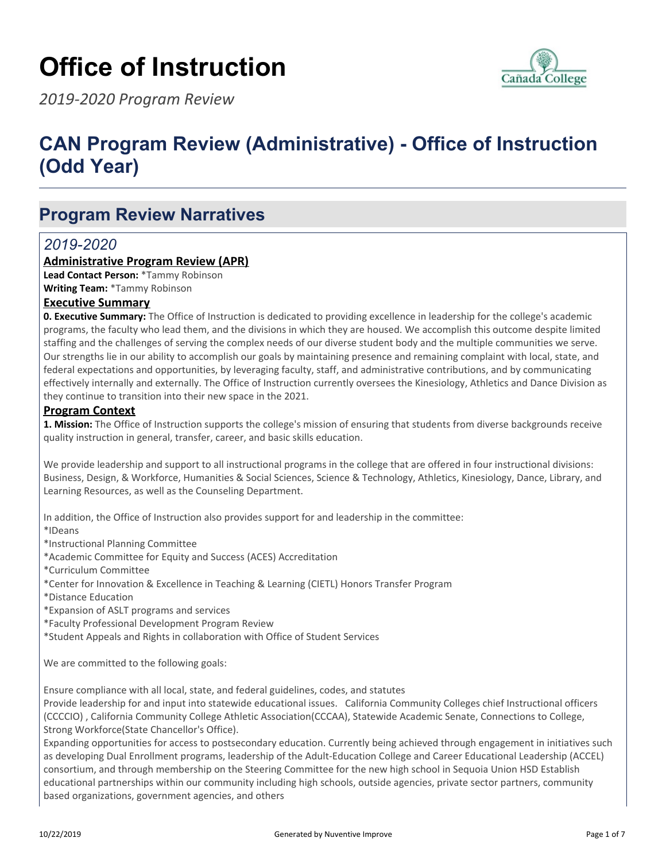# **Office of Instruction**



*2019-2020 Program Review*

## **CAN Program Review (Administrative) - Office of Instruction (Odd Year)**

### **Program Review Narratives**

### *2019-2020*

#### **Administrative Program Review (APR)**

**Lead Contact Person:** \*Tammy Robinson **Writing Team:** \*Tammy Robinson

#### **Executive Summary**

**0. Executive Summary:** The Office of Instruction is dedicated to providing excellence in leadership for the college's academic programs, the faculty who lead them, and the divisions in which they are housed. We accomplish this outcome despite limited staffing and the challenges of serving the complex needs of our diverse student body and the multiple communities we serve. Our strengths lie in our ability to accomplish our goals by maintaining presence and remaining complaint with local, state, and federal expectations and opportunities, by leveraging faculty, staff, and administrative contributions, and by communicating effectively internally and externally. The Office of Instruction currently oversees the Kinesiology, Athletics and Dance Division as they continue to transition into their new space in the 2021.

#### **Program Context**

**1. Mission:** The Office of Instruction supports the college's mission of ensuring that students from diverse backgrounds receive quality instruction in general, transfer, career, and basic skills education.

We provide leadership and support to all instructional programs in the college that are offered in four instructional divisions: Business, Design, & Workforce, Humanities & Social Sciences, Science & Technology, Athletics, Kinesiology, Dance, Library, and Learning Resources, as well as the Counseling Department.

In addition, the Office of Instruction also provides support for and leadership in the committee:

\*IDeans

\*Instructional Planning Committee

- \*Academic Committee for Equity and Success (ACES) Accreditation
- \*Curriculum Committee
- \*Center for Innovation & Excellence in Teaching & Learning (CIETL) Honors Transfer Program
- \*Distance Education
- \*Expansion of ASLT programs and services
- \*Faculty Professional Development Program Review
- \*Student Appeals and Rights in collaboration with Office of Student Services

We are committed to the following goals:

Ensure compliance with all local, state, and federal guidelines, codes, and statutes

Provide leadership for and input into statewide educational issues. California Community Colleges chief Instructional officers (CCCCIO) , California Community College Athletic Association(CCCAA), Statewide Academic Senate, Connections to College, Strong Workforce(State Chancellor's Office).

Expanding opportunities for access to postsecondary education. Currently being achieved through engagement in initiatives such as developing Dual Enrollment programs, leadership of the Adult-Education College and Career Educational Leadership (ACCEL) consortium, and through membership on the Steering Committee for the new high school in Sequoia Union HSD Establish educational partnerships within our community including high schools, outside agencies, private sector partners, community based organizations, government agencies, and others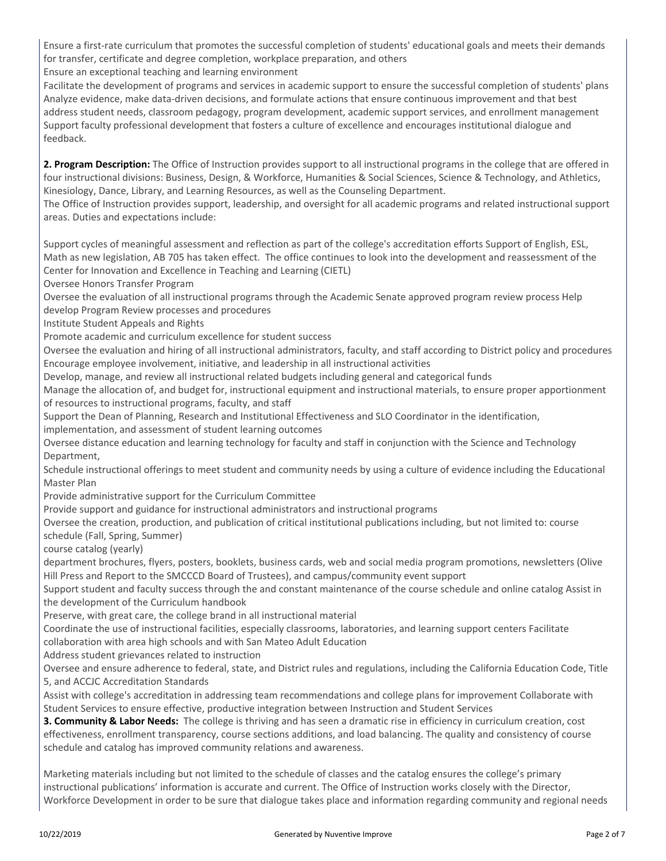Ensure a first-rate curriculum that promotes the successful completion of students' educational goals and meets their demands for transfer, certificate and degree completion, workplace preparation, and others

Ensure an exceptional teaching and learning environment

Facilitate the development of programs and services in academic support to ensure the successful completion of students' plans Analyze evidence, make data-driven decisions, and formulate actions that ensure continuous improvement and that best address student needs, classroom pedagogy, program development, academic support services, and enrollment management Support faculty professional development that fosters a culture of excellence and encourages institutional dialogue and feedback.

**2. Program Description:** The Office of Instruction provides support to all instructional programs in the college that are offered in four instructional divisions: Business, Design, & Workforce, Humanities & Social Sciences, Science & Technology, and Athletics, Kinesiology, Dance, Library, and Learning Resources, as well as the Counseling Department.

The Office of Instruction provides support, leadership, and oversight for all academic programs and related instructional support areas. Duties and expectations include:

Support cycles of meaningful assessment and reflection as part of the college's accreditation efforts Support of English, ESL, Math as new legislation, AB 705 has taken effect. The office continues to look into the development and reassessment of the Center for Innovation and Excellence in Teaching and Learning (CIETL)

Oversee Honors Transfer Program

Oversee the evaluation of all instructional programs through the Academic Senate approved program review process Help develop Program Review processes and procedures

Institute Student Appeals and Rights

Promote academic and curriculum excellence for student success

Oversee the evaluation and hiring of all instructional administrators, faculty, and staff according to District policy and procedures Encourage employee involvement, initiative, and leadership in all instructional activities

Develop, manage, and review all instructional related budgets including general and categorical funds

Manage the allocation of, and budget for, instructional equipment and instructional materials, to ensure proper apportionment of resources to instructional programs, faculty, and staff

Support the Dean of Planning, Research and Institutional Effectiveness and SLO Coordinator in the identification,

implementation, and assessment of student learning outcomes

Oversee distance education and learning technology for faculty and staff in conjunction with the Science and Technology Department,

Schedule instructional offerings to meet student and community needs by using a culture of evidence including the Educational Master Plan

Provide administrative support for the Curriculum Committee

Provide support and guidance for instructional administrators and instructional programs

Oversee the creation, production, and publication of critical institutional publications including, but not limited to: course

schedule (Fall, Spring, Summer)

course catalog (yearly)

department brochures, flyers, posters, booklets, business cards, web and social media program promotions, newsletters (Olive Hill Press and Report to the SMCCCD Board of Trustees), and campus/community event support

Support student and faculty success through the and constant maintenance of the course schedule and online catalog Assist in the development of the Curriculum handbook

Preserve, with great care, the college brand in all instructional material

Coordinate the use of instructional facilities, especially classrooms, laboratories, and learning support centers Facilitate

collaboration with area high schools and with San Mateo Adult Education

Address student grievances related to instruction

Oversee and ensure adherence to federal, state, and District rules and regulations, including the California Education Code, Title 5, and ACCJC Accreditation Standards

Assist with college's accreditation in addressing team recommendations and college plans for improvement Collaborate with Student Services to ensure effective, productive integration between Instruction and Student Services

**3. Community & Labor Needs:** The college is thriving and has seen a dramatic rise in efficiency in curriculum creation, cost effectiveness, enrollment transparency, course sections additions, and load balancing. The quality and consistency of course schedule and catalog has improved community relations and awareness.

Marketing materials including but not limited to the schedule of classes and the catalog ensures the college's primary instructional publications' information is accurate and current. The Office of Instruction works closely with the Director, Workforce Development in order to be sure that dialogue takes place and information regarding community and regional needs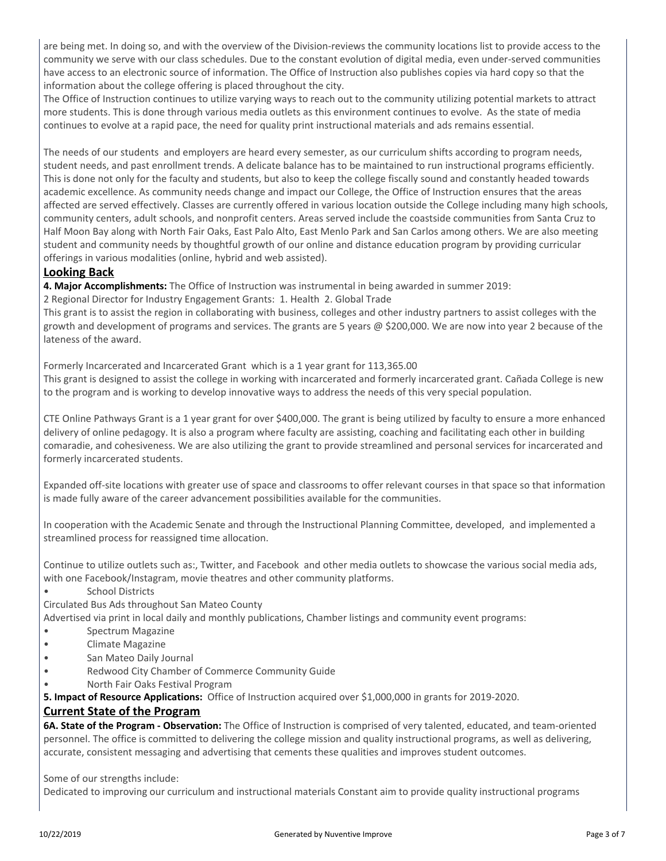are being met. In doing so, and with the overview of the Division-reviews the community locations list to provide access to the community we serve with our class schedules. Due to the constant evolution of digital media, even under-served communities have access to an electronic source of information. The Office of Instruction also publishes copies via hard copy so that the information about the college offering is placed throughout the city.

The Office of Instruction continues to utilize varying ways to reach out to the community utilizing potential markets to attract more students. This is done through various media outlets as this environment continues to evolve. As the state of media continues to evolve at a rapid pace, the need for quality print instructional materials and ads remains essential.

The needs of our students and employers are heard every semester, as our curriculum shifts according to program needs, student needs, and past enrollment trends. A delicate balance has to be maintained to run instructional programs efficiently. This is done not only for the faculty and students, but also to keep the college fiscally sound and constantly headed towards academic excellence. As community needs change and impact our College, the Office of Instruction ensures that the areas affected are served effectively. Classes are currently offered in various location outside the College including many high schools, community centers, adult schools, and nonprofit centers. Areas served include the coastside communities from Santa Cruz to Half Moon Bay along with North Fair Oaks, East Palo Alto, East Menlo Park and San Carlos among others. We are also meeting student and community needs by thoughtful growth of our online and distance education program by providing curricular offerings in various modalities (online, hybrid and web assisted).

#### **Looking Back**

**4. Major Accomplishments:** The Office of Instruction was instrumental in being awarded in summer 2019:

2 Regional Director for Industry Engagement Grants: 1. Health 2. Global Trade

This grant is to assist the region in collaborating with business, colleges and other industry partners to assist colleges with the growth and development of programs and services. The grants are 5 years @ \$200,000. We are now into year 2 because of the lateness of the award.

Formerly Incarcerated and Incarcerated Grant which is a 1 year grant for 113,365.00 This grant is designed to assist the college in working with incarcerated and formerly incarcerated grant. Cañada College is new to the program and is working to develop innovative ways to address the needs of this very special population.

CTE Online Pathways Grant is a 1 year grant for over \$400,000. The grant is being utilized by faculty to ensure a more enhanced delivery of online pedagogy. It is also a program where faculty are assisting, coaching and facilitating each other in building comaradie, and cohesiveness. We are also utilizing the grant to provide streamlined and personal services for incarcerated and formerly incarcerated students.

Expanded off-site locations with greater use of space and classrooms to offer relevant courses in that space so that information is made fully aware of the career advancement possibilities available for the communities.

In cooperation with the Academic Senate and through the Instructional Planning Committee, developed, and implemented a streamlined process for reassigned time allocation.

Continue to utilize outlets such as:, Twitter, and Facebook and other media outlets to showcase the various social media ads, with one Facebook/Instagram, movie theatres and other community platforms.

- School Districts
- Circulated Bus Ads throughout San Mateo County

Advertised via print in local daily and monthly publications, Chamber listings and community event programs:

- Spectrum Magazine
- Climate Magazine
- San Mateo Daily Journal
- Redwood City Chamber of Commerce Community Guide
- North Fair Oaks Festival Program

**5. Impact of Resource Applications:** Office of Instruction acquired over \$1,000,000 in grants for 2019-2020.

#### **Current State of the Program**

**6A. State of the Program - Observation:** The Office of Instruction is comprised of very talented, educated, and team-oriented personnel. The office is committed to delivering the college mission and quality instructional programs, as well as delivering, accurate, consistent messaging and advertising that cements these qualities and improves student outcomes.

Some of our strengths include:

Dedicated to improving our curriculum and instructional materials Constant aim to provide quality instructional programs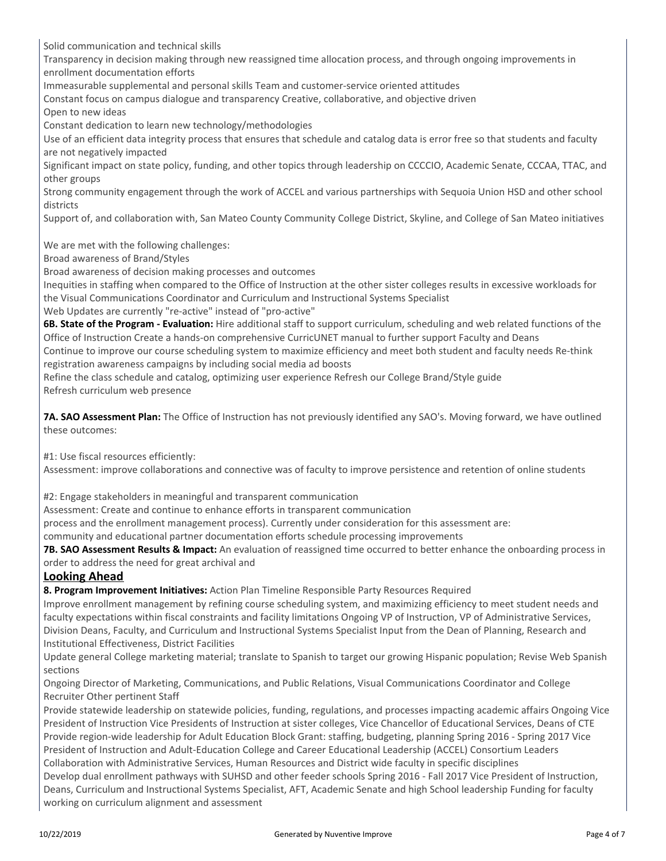Solid communication and technical skills

Transparency in decision making through new reassigned time allocation process, and through ongoing improvements in enrollment documentation efforts

Immeasurable supplemental and personal skills Team and customer-service oriented attitudes

Constant focus on campus dialogue and transparency Creative, collaborative, and objective driven

Open to new ideas

Constant dedication to learn new technology/methodologies

Use of an efficient data integrity process that ensures that schedule and catalog data is error free so that students and faculty are not negatively impacted

Significant impact on state policy, funding, and other topics through leadership on CCCCIO, Academic Senate, CCCAA, TTAC, and other groups

Strong community engagement through the work of ACCEL and various partnerships with Sequoia Union HSD and other school districts

Support of, and collaboration with, San Mateo County Community College District, Skyline, and College of San Mateo initiatives

We are met with the following challenges:

Broad awareness of Brand/Styles

Broad awareness of decision making processes and outcomes

Inequities in staffing when compared to the Office of Instruction at the other sister colleges results in excessive workloads for the Visual Communications Coordinator and Curriculum and Instructional Systems Specialist

Web Updates are currently "re-active" instead of "pro-active"

**6B. State of the Program - Evaluation:** Hire additional staff to support curriculum, scheduling and web related functions of the Office of Instruction Create a hands-on comprehensive CurricUNET manual to further support Faculty and Deans

Continue to improve our course scheduling system to maximize efficiency and meet both student and faculty needs Re-think registration awareness campaigns by including social media ad boosts

Refine the class schedule and catalog, optimizing user experience Refresh our College Brand/Style guide Refresh curriculum web presence

**7A. SAO Assessment Plan:** The Office of Instruction has not previously identified any SAO's. Moving forward, we have outlined these outcomes:

#1: Use fiscal resources efficiently:

Assessment: improve collaborations and connective was of faculty to improve persistence and retention of online students

#2: Engage stakeholders in meaningful and transparent communication

Assessment: Create and continue to enhance efforts in transparent communication

process and the enrollment management process). Currently under consideration for this assessment are:

community and educational partner documentation efforts schedule processing improvements

**7B. SAO Assessment Results & Impact:** An evaluation of reassigned time occurred to better enhance the onboarding process in order to address the need for great archival and

#### **Looking Ahead**

**8. Program Improvement Initiatives:** Action Plan Timeline Responsible Party Resources Required

Improve enrollment management by refining course scheduling system, and maximizing efficiency to meet student needs and faculty expectations within fiscal constraints and facility limitations Ongoing VP of Instruction, VP of Administrative Services, Division Deans, Faculty, and Curriculum and Instructional Systems Specialist Input from the Dean of Planning, Research and Institutional Effectiveness, District Facilities

Update general College marketing material; translate to Spanish to target our growing Hispanic population; Revise Web Spanish sections

Ongoing Director of Marketing, Communications, and Public Relations, Visual Communications Coordinator and College Recruiter Other pertinent Staff

Provide statewide leadership on statewide policies, funding, regulations, and processes impacting academic affairs Ongoing Vice President of Instruction Vice Presidents of Instruction at sister colleges, Vice Chancellor of Educational Services, Deans of CTE Provide region-wide leadership for Adult Education Block Grant: staffing, budgeting, planning Spring 2016 - Spring 2017 Vice President of Instruction and Adult-Education College and Career Educational Leadership (ACCEL) Consortium Leaders Collaboration with Administrative Services, Human Resources and District wide faculty in specific disciplines Develop dual enrollment pathways with SUHSD and other feeder schools Spring 2016 - Fall 2017 Vice President of Instruction,

Deans, Curriculum and Instructional Systems Specialist, AFT, Academic Senate and high School leadership Funding for faculty working on curriculum alignment and assessment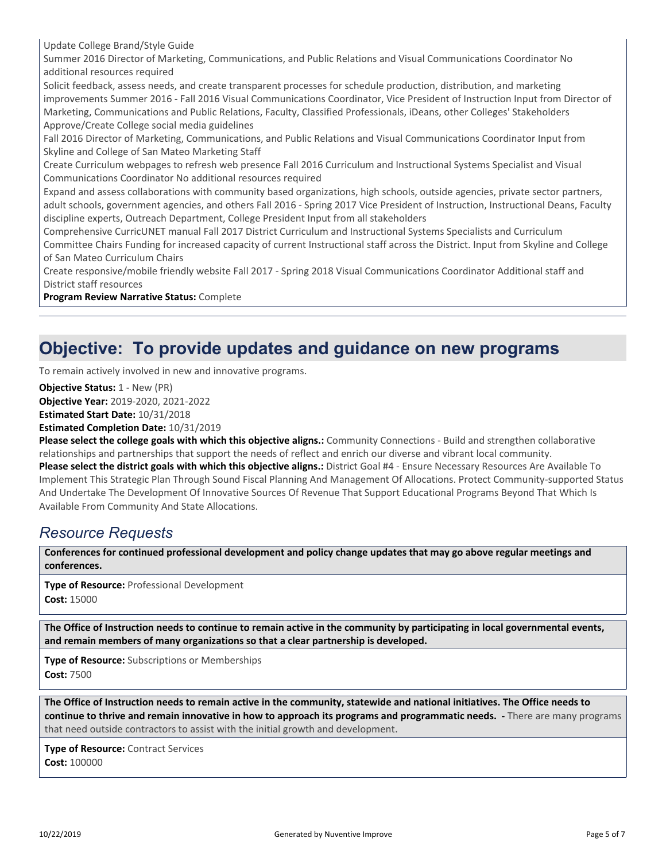Update College Brand/Style Guide

Summer 2016 Director of Marketing, Communications, and Public Relations and Visual Communications Coordinator No additional resources required

Solicit feedback, assess needs, and create transparent processes for schedule production, distribution, and marketing improvements Summer 2016 - Fall 2016 Visual Communications Coordinator, Vice President of Instruction Input from Director of Marketing, Communications and Public Relations, Faculty, Classified Professionals, iDeans, other Colleges' Stakeholders Approve/Create College social media guidelines

Fall 2016 Director of Marketing, Communications, and Public Relations and Visual Communications Coordinator Input from Skyline and College of San Mateo Marketing Staff

Create Curriculum webpages to refresh web presence Fall 2016 Curriculum and Instructional Systems Specialist and Visual Communications Coordinator No additional resources required

Expand and assess collaborations with community based organizations, high schools, outside agencies, private sector partners, adult schools, government agencies, and others Fall 2016 - Spring 2017 Vice President of Instruction, Instructional Deans, Faculty discipline experts, Outreach Department, College President Input from all stakeholders

Comprehensive CurricUNET manual Fall 2017 District Curriculum and Instructional Systems Specialists and Curriculum

Committee Chairs Funding for increased capacity of current Instructional staff across the District. Input from Skyline and College of San Mateo Curriculum Chairs

Create responsive/mobile friendly website Fall 2017 - Spring 2018 Visual Communications Coordinator Additional staff and District staff resources

**Program Review Narrative Status:** Complete

### **Objective: To provide updates and guidance on new programs**

To remain actively involved in new and innovative programs.

**Objective Status:** 1 - New (PR)

**Objective Year:** 2019-2020, 2021-2022

**Estimated Start Date:** 10/31/2018

**Estimated Completion Date:** 10/31/2019

**Please select the college goals with which this objective aligns.:** Community Connections - Build and strengthen collaborative relationships and partnerships that support the needs of reflect and enrich our diverse and vibrant local community. **Please select the district goals with which this objective aligns.:** District Goal #4 - Ensure Necessary Resources Are Available To Implement This Strategic Plan Through Sound Fiscal Planning And Management Of Allocations. Protect Community-supported Status And Undertake The Development Of Innovative Sources Of Revenue That Support Educational Programs Beyond That Which Is Available From Community And State Allocations.

#### *Resource Requests*

**Conferences for continued professional development and policy change updates that may go above regular meetings and conferences.**

**Type of Resource:** Professional Development **Cost:** 15000

**The Office of Instruction needs to continue to remain active in the community by participating in local governmental events, and remain members of many organizations so that a clear partnership is developed.**

**Type of Resource:** Subscriptions or Memberships **Cost:** 7500

**The Office of Instruction needs to remain active in the community, statewide and national initiatives. The Office needs to continue to thrive and remain innovative in how to approach its programs and programmatic needs. -** There are many programs that need outside contractors to assist with the initial growth and development.

**Type of Resource:** Contract Services **Cost:** 100000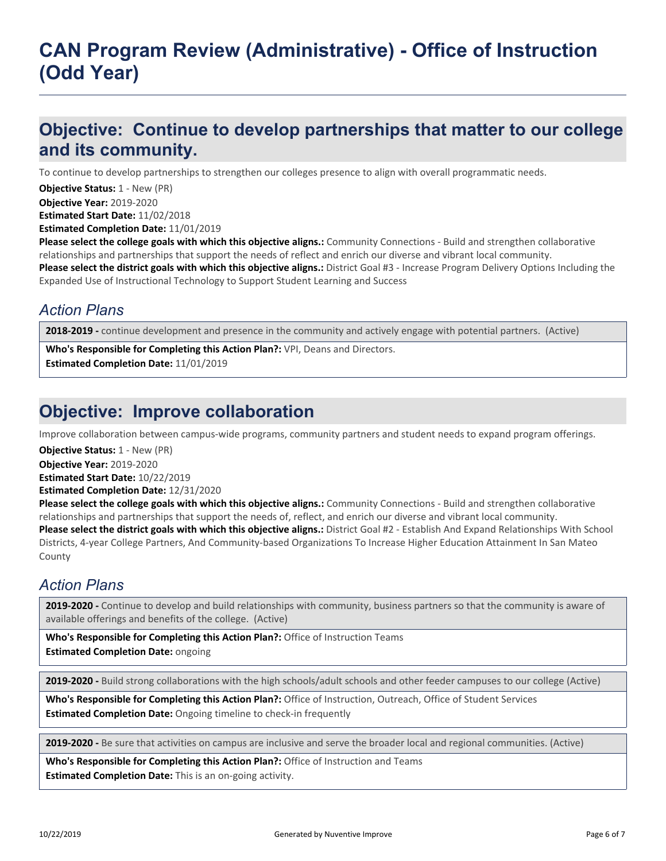## **CAN Program Review (Administrative) - Office of Instruction (Odd Year)**

### **Objective: Continue to develop partnerships that matter to our college and its community.**

To continue to develop partnerships to strengthen our colleges presence to align with overall programmatic needs.

**Objective Status: 1 - New (PR)** 

**Objective Year:** 2019-2020

**Estimated Start Date:** 11/02/2018

**Estimated Completion Date:** 11/01/2019

**Please select the college goals with which this objective aligns.:** Community Connections - Build and strengthen collaborative relationships and partnerships that support the needs of reflect and enrich our diverse and vibrant local community.

**Please select the district goals with which this objective aligns.:** District Goal #3 - Increase Program Delivery Options Including the Expanded Use of Instructional Technology to Support Student Learning and Success

### *Action Plans*

**2018-2019 -** continue development and presence in the community and actively engage with potential partners. (Active)

**Who's Responsible for Completing this Action Plan?:** VPI, Deans and Directors. **Estimated Completion Date:** 11/01/2019

### **Objective: Improve collaboration**

Improve collaboration between campus-wide programs, community partners and student needs to expand program offerings.

**Objective Status:** 1 - New (PR)

**Objective Year:** 2019-2020

**Estimated Start Date:** 10/22/2019

**Estimated Completion Date:** 12/31/2020

**Please select the college goals with which this objective aligns.:** Community Connections - Build and strengthen collaborative relationships and partnerships that support the needs of, reflect, and enrich our diverse and vibrant local community. **Please select the district goals with which this objective aligns.:** District Goal #2 - Establish And Expand Relationships With School Districts, 4-year College Partners, And Community-based Organizations To Increase Higher Education Attainment In San Mateo County

### *Action Plans*

**2019-2020 -** Continue to develop and build relationships with community, business partners so that the community is aware of available offerings and benefits of the college. (Active)

**Who's Responsible for Completing this Action Plan?:** Office of Instruction Teams **Estimated Completion Date:** ongoing

**2019-2020 -** Build strong collaborations with the high schools/adult schools and other feeder campuses to our college (Active)

**Who's Responsible for Completing this Action Plan?:** Office of Instruction, Outreach, Office of Student Services **Estimated Completion Date:** Ongoing timeline to check-in frequently

**2019-2020 -** Be sure that activities on campus are inclusive and serve the broader local and regional communities. (Active)

**Who's Responsible for Completing this Action Plan?:** Office of Instruction and Teams **Estimated Completion Date:** This is an on-going activity.